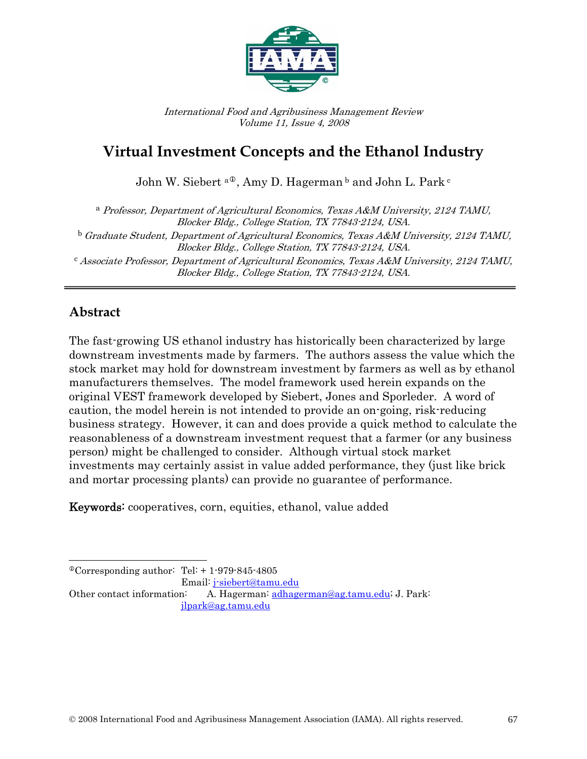

International Food and Agribusiness Management Review Volume 11, Issue 4, 2008

# **Virtual Investment Concepts and the Ethanol Industry**

John W. Siebert <sup>a ®</sup>, Amy D. Hagerman <sup>b</sup> and John [L](#page-0-0). Park <sup>c</sup>

<sup>a</sup> Professor, Department of Agricultural Economics, Texas A&M University, 2124 TAMU, Blocker Bldg., College Station, TX 77843-2124, USA.  $^{\rm b}$  Graduate Student, Department of Agricultural Economics, Texas A&M University, 2124 TAMU, Blocker Bldg., College Station, TX 77843-2124, USA.  $c$  Associate Professor, Department of Agricultural Economics, Texas A&M University, 2124 TAMU, Blocker Bldg., College Station, TX 77843-2124, USA.

## **Abstract**

The fast-growing US ethanol industry has historically been characterized by large downstream investments made by farmers. The authors assess the value which the stock market may hold for downstream investment by farmers as well as by ethanol manufacturers themselves. The model framework used herein expands on the original VEST framework developed by Siebert, Jones and Sporleder. A word of caution, the model herein is not intended to provide an on-going, risk-reducing business strategy. However, it can and does provide a quick method to calculate the reasonableness of a downstream investment request that a farmer (or any business person) might be challenged to consider. Although virtual stock market investments may certainly assist in value added performance, they (just like brick and mortar processing plants) can provide no guarantee of performance.

Keywords: cooperatives, corn, equities, ethanol, value added

<span id="page-0-0"></span> $\overline{a}$  $^{\circ}$ Corresponding author: Tel: + 1-979-845-4805

Email: [j-siebert@tamu.edu](mailto:j-siebert@tamu.edu) 

Other contact information: A. Hagerman: [adhagerman@ag.tamu.edu](mailto:adhagerman@ag.tamu.edu); J. Park: [jlpark@ag.tamu.edu](mailto:jlpark@ag.tamu.edu)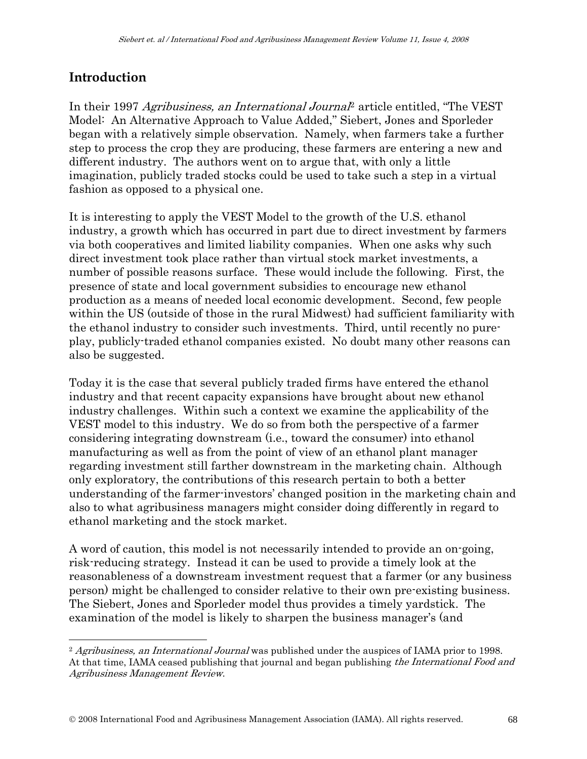## **Introduction**

 $\overline{a}$ 

In their 1997 Agribusiness, an International Journal<sup>[2](#page-1-0)</sup> article entitled, "The VEST Model: An Alternative Approach to Value Added," Siebert, Jones and Sporleder began with a relatively simple observation. Namely, when farmers take a further step to process the crop they are producing, these farmers are entering a new and different industry. The authors went on to argue that, with only a little imagination, publicly traded stocks could be used to take such a step in a virtual fashion as opposed to a physical one.

It is interesting to apply the VEST Model to the growth of the U.S. ethanol industry, a growth which has occurred in part due to direct investment by farmers via both cooperatives and limited liability companies. When one asks why such direct investment took place rather than virtual stock market investments, a number of possible reasons surface. These would include the following. First, the presence of state and local government subsidies to encourage new ethanol production as a means of needed local economic development. Second, few people within the US (outside of those in the rural Midwest) had sufficient familiarity with the ethanol industry to consider such investments. Third, until recently no pureplay, publicly-traded ethanol companies existed. No doubt many other reasons can also be suggested.

Today it is the case that several publicly traded firms have entered the ethanol industry and that recent capacity expansions have brought about new ethanol industry challenges. Within such a context we examine the applicability of the VEST model to this industry. We do so from both the perspective of a farmer considering integrating downstream (i.e., toward the consumer) into ethanol manufacturing as well as from the point of view of an ethanol plant manager regarding investment still farther downstream in the marketing chain. Although only exploratory, the contributions of this research pertain to both a better understanding of the farmer-investors' changed position in the marketing chain and also to what agribusiness managers might consider doing differently in regard to ethanol marketing and the stock market.

A word of caution, this model is not necessarily intended to provide an on-going, risk-reducing strategy. Instead it can be used to provide a timely look at the reasonableness of a downstream investment request that a farmer (or any business person) might be challenged to consider relative to their own pre-existing business. The Siebert, Jones and Sporleder model thus provides a timely yardstick. The examination of the model is likely to sharpen the business manager's (and

<span id="page-1-0"></span><sup>&</sup>lt;sup>2</sup> Agribusiness, an International Journal was published under the auspices of IAMA prior to 1998. At that time, IAMA ceased publishing that journal and began publishing the International Food and Agribusiness Management Review.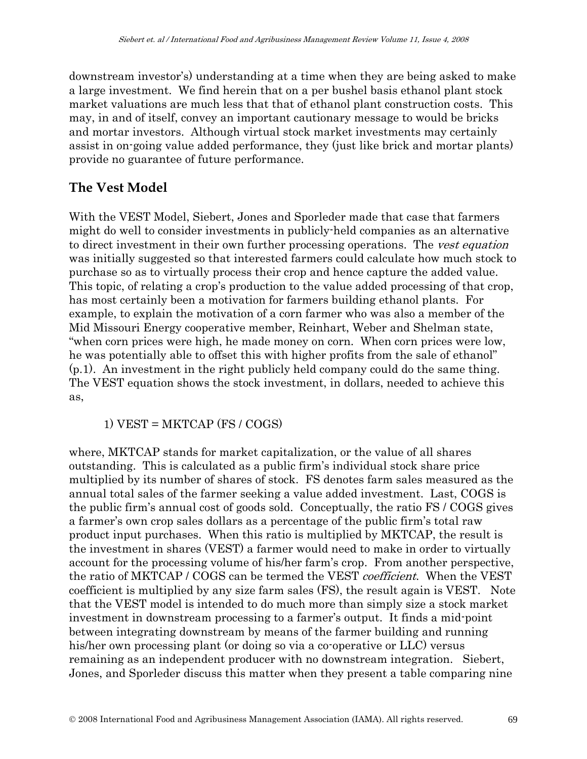downstream investor's) understanding at a time when they are being asked to make a large investment. We find herein that on a per bushel basis ethanol plant stock market valuations are much less that that of ethanol plant construction costs. This may, in and of itself, convey an important cautionary message to would be bricks and mortar investors. Although virtual stock market investments may certainly assist in on-going value added performance, they (just like brick and mortar plants) provide no guarantee of future performance.

## **The Vest Model**

With the VEST Model, Siebert, Jones and Sporleder made that case that farmers might do well to consider investments in publicly-held companies as an alternative to direct investment in their own further processing operations. The *vest equation* was initially suggested so that interested farmers could calculate how much stock to purchase so as to virtually process their crop and hence capture the added value. This topic, of relating a crop's production to the value added processing of that crop, has most certainly been a motivation for farmers building ethanol plants. For example, to explain the motivation of a corn farmer who was also a member of the Mid Missouri Energy cooperative member, Reinhart, Weber and Shelman state, "when corn prices were high, he made money on corn. When corn prices were low, he was potentially able to offset this with higher profits from the sale of ethanol" (p.1). An investment in the right publicly held company could do the same thing. The VEST equation shows the stock investment, in dollars, needed to achieve this as,

1) VEST = MKTCAP (FS / COGS)

where, MKTCAP stands for market capitalization, or the value of all shares outstanding. This is calculated as a public firm's individual stock share price multiplied by its number of shares of stock. FS denotes farm sales measured as the annual total sales of the farmer seeking a value added investment. Last, COGS is the public firm's annual cost of goods sold. Conceptually, the ratio FS / COGS gives a farmer's own crop sales dollars as a percentage of the public firm's total raw product input purchases. When this ratio is multiplied by MKTCAP, the result is the investment in shares (VEST) a farmer would need to make in order to virtually account for the processing volume of his/her farm's crop. From another perspective, the ratio of MKTCAP / COGS can be termed the VEST *coefficient*. When the VEST coefficient is multiplied by any size farm sales (FS), the result again is VEST. Note that the VEST model is intended to do much more than simply size a stock market investment in downstream processing to a farmer's output. It finds a mid-point between integrating downstream by means of the farmer building and running his/her own processing plant (or doing so via a co-operative or LLC) versus remaining as an independent producer with no downstream integration. Siebert, Jones, and Sporleder discuss this matter when they present a table comparing nine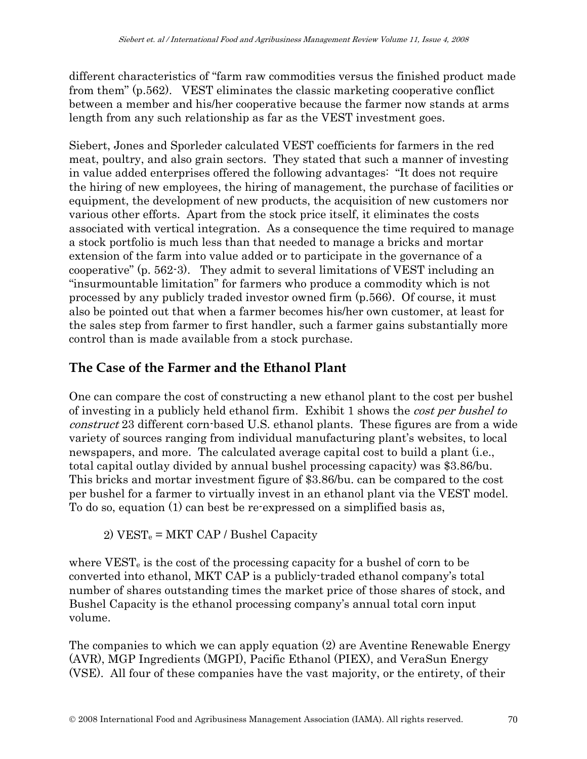different characteristics of "farm raw commodities versus the finished product made from them" (p.562). VEST eliminates the classic marketing cooperative conflict between a member and his/her cooperative because the farmer now stands at arms length from any such relationship as far as the VEST investment goes.

Siebert, Jones and Sporleder calculated VEST coefficients for farmers in the red meat, poultry, and also grain sectors. They stated that such a manner of investing in value added enterprises offered the following advantages: "It does not require the hiring of new employees, the hiring of management, the purchase of facilities or equipment, the development of new products, the acquisition of new customers nor various other efforts. Apart from the stock price itself, it eliminates the costs associated with vertical integration. As a consequence the time required to manage a stock portfolio is much less than that needed to manage a bricks and mortar extension of the farm into value added or to participate in the governance of a cooperative" (p. 562-3). They admit to several limitations of VEST including an "insurmountable limitation" for farmers who produce a commodity which is not processed by any publicly traded investor owned firm (p.566). Of course, it must also be pointed out that when a farmer becomes his/her own customer, at least for the sales step from farmer to first handler, such a farmer gains substantially more control than is made available from a stock purchase.

## **The Case of the Farmer and the Ethanol Plant**

One can compare the cost of constructing a new ethanol plant to the cost per bushel of investing in a publicly held ethanol firm. Exhibit 1 shows the cost per bushel to construct 23 different corn-based U.S. ethanol plants. These figures are from a wide variety of sources ranging from individual manufacturing plant's websites, to local newspapers, and more. The calculated average capital cost to build a plant (i.e., total capital outlay divided by annual bushel processing capacity) was \$3.86/bu. This bricks and mortar investment figure of \$3.86/bu. can be compared to the cost per bushel for a farmer to virtually invest in an ethanol plant via the VEST model. To do so, equation (1) can best be re-expressed on a simplified basis as,

2)  $VEST_e = MKT CAP / Bushel Capacity$ 

where  $VEST_e$  is the cost of the processing capacity for a bushel of corn to be converted into ethanol, MKT CAP is a publicly-traded ethanol company's total number of shares outstanding times the market price of those shares of stock, and Bushel Capacity is the ethanol processing company's annual total corn input volume.

The companies to which we can apply equation (2) are Aventine Renewable Energy (AVR), MGP Ingredients (MGPI), Pacific Ethanol (PIEX), and VeraSun Energy (VSE). All four of these companies have the vast majority, or the entirety, of their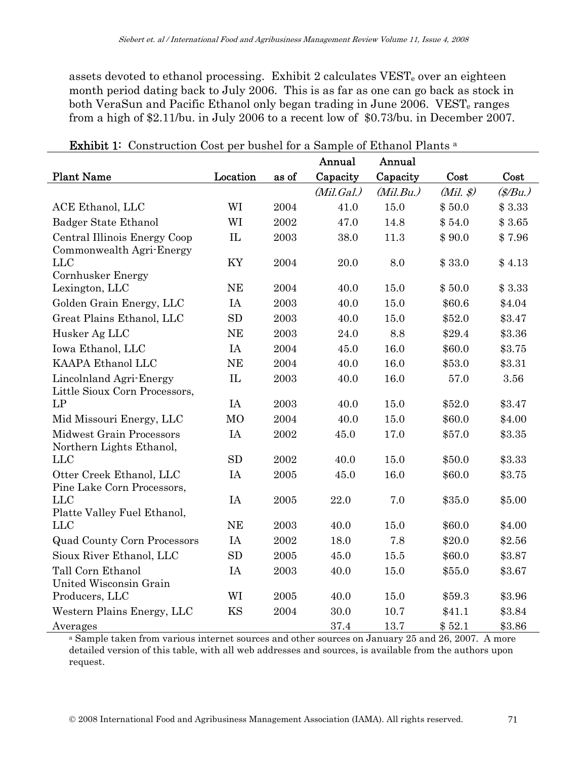assets devoted to ethanol processing. Exhibit 2 calculates VEST<sub>e</sub> over an eighteen month period dating back to July 2006. This is as far as one can go back as stock in both VeraSun and Pacific Ethanol only began trading in June 2006. VEST<sub>e</sub> ranges from a high of \$2.11/bu. in July 2006 to a recent low of \$0.73/bu. in December 2007.

|                                                             |                |       | Annual     | Annual    |                         |                  |
|-------------------------------------------------------------|----------------|-------|------------|-----------|-------------------------|------------------|
| <b>Plant Name</b>                                           | Location       | as of | Capacity   | Capacity  | Cost                    | Cost             |
|                                                             |                |       | (Mil.Gal.) | (Mil.Bu.) | $(Mil. \, \mathcal{S})$ | $(\frac{g}{Bu})$ |
| ACE Ethanol, LLC                                            | WI             | 2004  | 41.0       | 15.0      | \$50.0                  | \$3.33           |
| Badger State Ethanol                                        | WI             | 2002  | 47.0       | 14.8      | \$54.0                  | \$3.65           |
| Central Illinois Energy Coop<br>Commonwealth Agri-Energy    | IL             | 2003  | 38.0       | 11.3      | \$90.0                  | \$7.96           |
| <b>LLC</b><br>Cornhusker Energy                             | KY             | 2004  | 20.0       | 8.0       | \$33.0                  | \$4.13           |
| Lexington, LLC                                              | <b>NE</b>      | 2004  | 40.0       | 15.0      | \$50.0                  | \$3.33           |
| Golden Grain Energy, LLC                                    | IA             | 2003  | 40.0       | 15.0      | \$60.6                  | \$4.04           |
| Great Plains Ethanol, LLC                                   | <b>SD</b>      | 2003  | 40.0       | 15.0      | \$52.0                  | \$3.47           |
| Husker Ag LLC                                               | <b>NE</b>      | 2003  | 24.0       | 8.8       | \$29.4                  | \$3.36           |
| Iowa Ethanol, LLC                                           | IA             | 2004  | 45.0       | 16.0      | \$60.0                  | \$3.75           |
| KAAPA Ethanol LLC                                           | <b>NE</b>      | 2004  | 40.0       | 16.0      | \$53.0                  | \$3.31           |
| Lincolnland Agri-Energy<br>Little Sioux Corn Processors,    | IL             | 2003  | 40.0       | 16.0      | 57.0                    | 3.56             |
| LP                                                          | IA             | 2003  | 40.0       | 15.0      | \$52.0                  | \$3.47           |
| Mid Missouri Energy, LLC                                    | M <sub>O</sub> | 2004  | 40.0       | 15.0      | \$60.0                  | \$4.00           |
| <b>Midwest Grain Processors</b><br>Northern Lights Ethanol, | IA             | 2002  | 45.0       | 17.0      | \$57.0                  | \$3.35           |
| <b>LLC</b>                                                  | <b>SD</b>      | 2002  | 40.0       | 15.0      | \$50.0                  | \$3.33           |
| Otter Creek Ethanol, LLC<br>Pine Lake Corn Processors,      | IA             | 2005  | 45.0       | 16.0      | \$60.0                  | \$3.75           |
| <b>LLC</b><br>Platte Valley Fuel Ethanol,                   | IA             | 2005  | 22.0       | 7.0       | \$35.0                  | \$5.00           |
| <b>LLC</b>                                                  | <b>NE</b>      | 2003  | 40.0       | 15.0      | \$60.0                  | \$4.00           |
| <b>Quad County Corn Processors</b>                          | IA             | 2002  | 18.0       | 7.8       | \$20.0                  | \$2.56           |
| Sioux River Ethanol, LLC                                    | <b>SD</b>      | 2005  | 45.0       | 15.5      | \$60.0                  | \$3.87           |
| Tall Corn Ethanol<br>United Wisconsin Grain                 | IA             | 2003  | 40.0       | 15.0      | \$55.0                  | \$3.67           |
| Producers, LLC                                              | WI             | 2005  | 40.0       | 15.0      | \$59.3                  | \$3.96           |
| Western Plains Energy, LLC                                  | KS             | 2004  | 30.0       | 10.7      | \$41.1                  | \$3.84           |
| Averages                                                    |                |       | 37.4       | 13.7      | \$52.1                  | \$3.86           |

Exhibit 1: Construction Cost per bushel for a Sample of Ethanol Plants<sup>a</sup>

<sup>a</sup> Sample taken from various internet sources and other sources on January 25 and 26, 2007. A more detailed version of this table, with all web addresses and sources, is available from the authors upon request.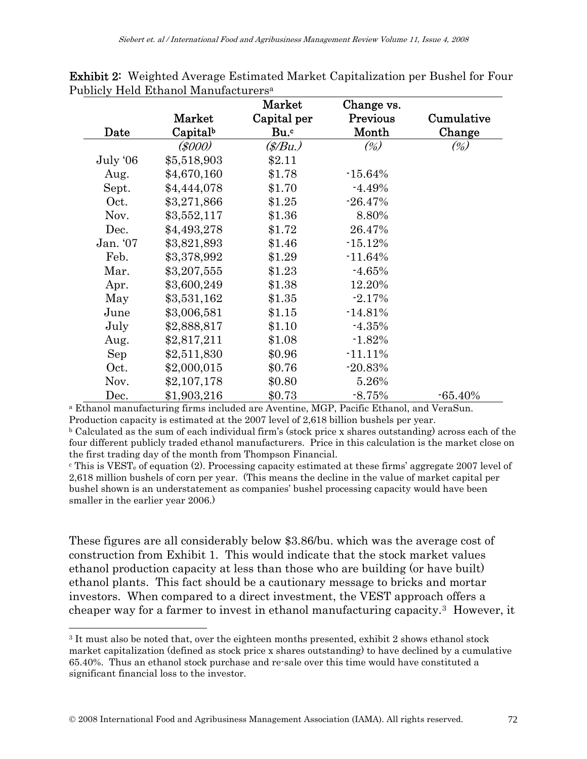|          |             | Market      | Change vs. |            |
|----------|-------------|-------------|------------|------------|
|          | Market      | Capital per | Previous   | Cumulative |
| Date     | Capitalb    | Bu.c        | Month      | Change     |
|          | (\$000)     | (\$/Bu.)    | $(\%)$     | (%)        |
| July '06 | \$5,518,903 | \$2.11      |            |            |
| Aug.     | \$4,670,160 | \$1.78      | $-15.64%$  |            |
| Sept.    | \$4,444,078 | \$1.70      | $-4.49%$   |            |
| Oct.     | \$3,271,866 | \$1.25      | $-26.47%$  |            |
| Nov.     | \$3,552,117 | \$1.36      | 8.80%      |            |
| Dec.     | \$4,493,278 | \$1.72      | 26.47%     |            |
| Jan. '07 | \$3,821,893 | \$1.46      | $-15.12%$  |            |
| Feb.     | \$3,378,992 | \$1.29      | $-11.64%$  |            |
| Mar.     | \$3,207,555 | \$1.23      | $-4.65%$   |            |
| Apr.     | \$3,600,249 | \$1.38      | 12.20%     |            |
| May      | \$3,531,162 | \$1.35      | $-2.17%$   |            |
| June     | \$3,006,581 | \$1.15      | $-14.81%$  |            |
| July     | \$2,888,817 | \$1.10      | $-4.35%$   |            |
| Aug.     | \$2,817,211 | \$1.08      | $-1.82%$   |            |
| Sep      | \$2,511,830 | \$0.96      | $-11.11%$  |            |
| Oct.     | \$2,000,015 | \$0.76      | $-20.83%$  |            |
| Nov.     | \$2,107,178 | \$0.80      | 5.26%      |            |
| Dec.     | \$1,903,216 | \$0.73      | $-8.75%$   | $-65.40%$  |

Exhibit 2: Weighted Average Estimated Market Capitalization per Bushel for Four Publicly Held Ethanol Manufacturersa

<sup>a</sup> Ethanol manufacturing firms included are Aventine, MGP, Pacific Ethanol, and VeraSun. Production capacity is estimated at the 2007 level of 2,618 billion bushels per year.

b Calculated as the sum of each individual firm's (stock price x shares outstanding) across each of the four different publicly traded ethanol manufacturers. Price in this calculation is the market close on the first trading day of the month from Thompson Financial.

 $\textdegree$  This is VEST<sub>e</sub> of equation (2). Processing capacity estimated at these firms' aggregate 2007 level of 2,618 million bushels of corn per year. (This means the decline in the value of market capital per bushel shown is an understatement as companies' bushel processing capacity would have been smaller in the earlier year 2006.)

These figures are all considerably below \$3.86/bu. which was the average cost of construction from Exhibit 1. This would indicate that the stock market values ethanol production capacity at less than those who are building (or have built) ethanol plants. This fact should be a cautionary message to bricks and mortar investors. When compared to a direct investment, the VEST approach offers a cheaper way for a farmer to invest in ethanol manufacturing capacity.[3](#page-5-0) However, it

 $\overline{a}$ 

<span id="page-5-0"></span><sup>3</sup> It must also be noted that, over the eighteen months presented, exhibit 2 shows ethanol stock market capitalization (defined as stock price x shares outstanding) to have declined by a cumulative 65.40%. Thus an ethanol stock purchase and re-sale over this time would have constituted a significant financial loss to the investor.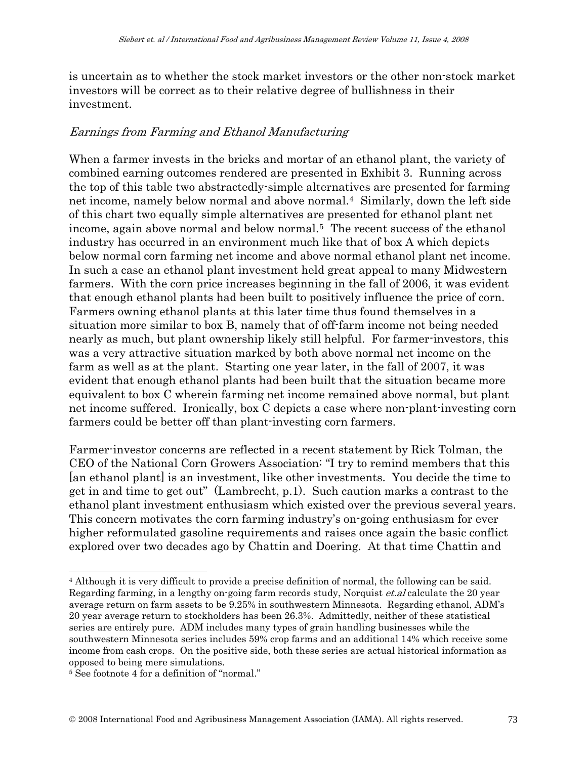is uncertain as to whether the stock market investors or the other non-stock market investors will be correct as to their relative degree of bullishness in their investment.

#### Earnings from Farming and Ethanol Manufacturing

When a farmer invests in the bricks and mortar of an ethanol plant, the variety of combined earning outcomes rendered are presented in Exhibit 3. Running across the top of this table two abstractedly-simple alternatives are presented for farming net income, namely below normal and above normal.[4](#page-6-0) Similarly, down the left side of this chart two equally simple alternatives are presented for ethanol plant net income, again above normal and below normal.[5](#page-6-1) The recent success of the ethanol industry has occurred in an environment much like that of box A which depicts below normal corn farming net income and above normal ethanol plant net income. In such a case an ethanol plant investment held great appeal to many Midwestern farmers. With the corn price increases beginning in the fall of 2006, it was evident that enough ethanol plants had been built to positively influence the price of corn. Farmers owning ethanol plants at this later time thus found themselves in a situation more similar to box B, namely that of off-farm income not being needed nearly as much, but plant ownership likely still helpful. For farmer-investors, this was a very attractive situation marked by both above normal net income on the farm as well as at the plant. Starting one year later, in the fall of 2007, it was evident that enough ethanol plants had been built that the situation became more equivalent to box C wherein farming net income remained above normal, but plant net income suffered. Ironically, box C depicts a case where non-plant-investing corn farmers could be better off than plant-investing corn farmers.

Farmer-investor concerns are reflected in a recent statement by Rick Tolman, the CEO of the National Corn Growers Association: "I try to remind members that this [an ethanol plant] is an investment, like other investments. You decide the time to get in and time to get out" (Lambrecht, p.1). Such caution marks a contrast to the ethanol plant investment enthusiasm which existed over the previous several years. This concern motivates the corn farming industry's on-going enthusiasm for ever higher reformulated gasoline requirements and raises once again the basic conflict explored over two decades ago by Chattin and Doering. At that time Chattin and

 $\overline{a}$ 

<span id="page-6-0"></span><sup>4</sup> Although it is very difficult to provide a precise definition of normal, the following can be said. Regarding farming, in a lengthy on-going farm records study, Norquist et.al calculate the 20 year average return on farm assets to be 9.25% in southwestern Minnesota. Regarding ethanol, ADM's 20 year average return to stockholders has been 26.3%. Admittedly, neither of these statistical series are entirely pure. ADM includes many types of grain handling businesses while the southwestern Minnesota series includes 59% crop farms and an additional 14% which receive some income from cash crops. On the positive side, both these series are actual historical information as opposed to being mere simulations.

<span id="page-6-1"></span><sup>5</sup> See footnote 4 for a definition of "normal."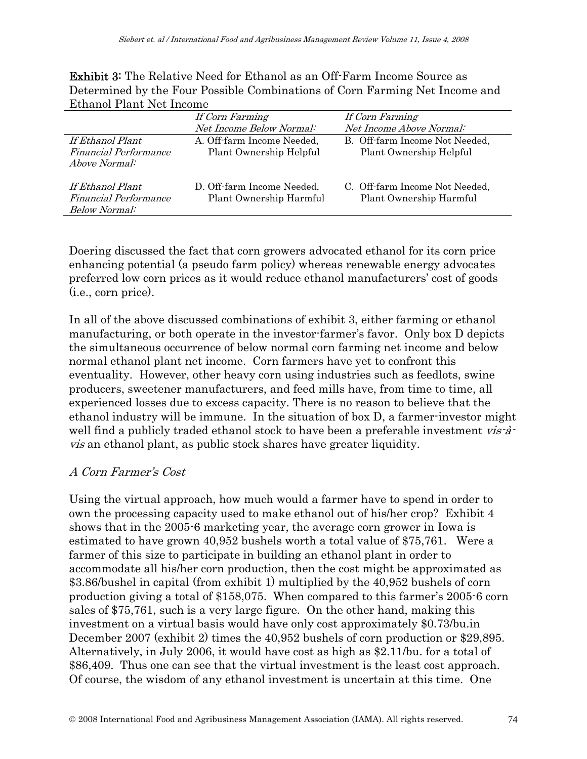Exhibit 3: The Relative Need for Ethanol as an Off-Farm Income Source as Determined by the Four Possible Combinations of Corn Farming Net Income and Ethanol Plant Net Income

|                              | If Corn Farming            | If Corn Farming                |  |  |
|------------------------------|----------------------------|--------------------------------|--|--|
|                              | Net Income Below Normal:   | Net Income Above Normal:       |  |  |
| If Ethanol Plant             | A. Off-farm Income Needed, | B. Off-farm Income Not Needed, |  |  |
| <i>Financial Performance</i> | Plant Ownership Helpful    | Plant Ownership Helpful        |  |  |
| <i>Above Normal:</i>         |                            |                                |  |  |
|                              |                            |                                |  |  |
| If Ethanol Plant             | D. Off-farm Income Needed, | C. Off-farm Income Not Needed, |  |  |
| <i>Financial Performance</i> | Plant Ownership Harmful    | Plant Ownership Harmful        |  |  |
| Below Normal:                |                            |                                |  |  |

Doering discussed the fact that corn growers advocated ethanol for its corn price enhancing potential (a pseudo farm policy) whereas renewable energy advocates preferred low corn prices as it would reduce ethanol manufacturers' cost of goods (i.e., corn price).

In all of the above discussed combinations of exhibit 3, either farming or ethanol manufacturing, or both operate in the investor-farmer's favor. Only box D depicts the simultaneous occurrence of below normal corn farming net income and below normal ethanol plant net income. Corn farmers have yet to confront this eventuality. However, other heavy corn using industries such as feedlots, swine producers, sweetener manufacturers, and feed mills have, from time to time, all experienced losses due to excess capacity. There is no reason to believe that the ethanol industry will be immune. In the situation of box D, a farmer-investor might well find a publicly traded ethanol stock to have been a preferable investment  $vis\cdot\hat{a}$ . vis an ethanol plant, as public stock shares have greater liquidity.

### A Corn Farmer's Cost

Using the virtual approach, how much would a farmer have to spend in order to own the processing capacity used to make ethanol out of his/her crop? Exhibit 4 shows that in the 2005-6 marketing year, the average corn grower in Iowa is estimated to have grown 40,952 bushels worth a total value of \$75,761. Were a farmer of this size to participate in building an ethanol plant in order to accommodate all his/her corn production, then the cost might be approximated as \$3.86/bushel in capital (from exhibit 1) multiplied by the 40,952 bushels of corn production giving a total of \$158,075. When compared to this farmer's 2005-6 corn sales of \$75,761, such is a very large figure. On the other hand, making this investment on a virtual basis would have only cost approximately \$0.73/bu.in December 2007 (exhibit 2) times the 40,952 bushels of corn production or \$29,895. Alternatively, in July 2006, it would have cost as high as \$2.11/bu. for a total of \$86,409. Thus one can see that the virtual investment is the least cost approach. Of course, the wisdom of any ethanol investment is uncertain at this time. One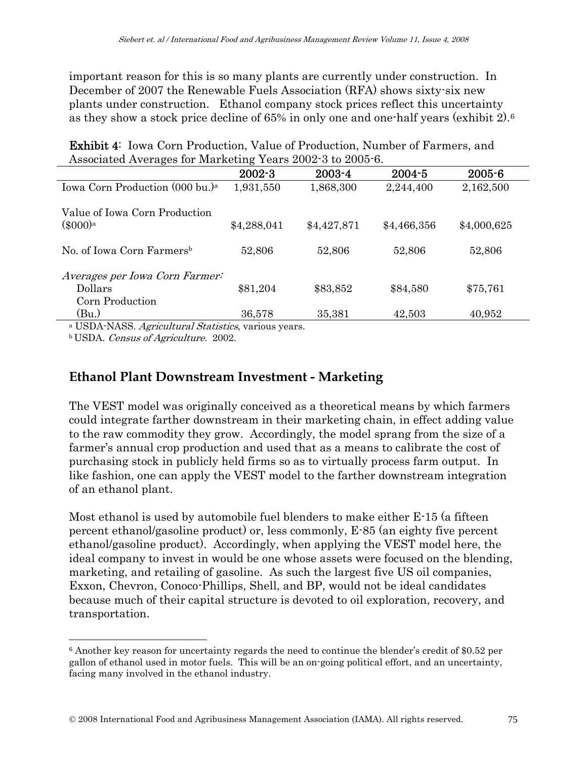important reason for this is so many plants are currently under construction. In December of 2007 the Renewable Fuels Association (RFA) shows sixty-six new plants under construction. Ethanol company stock prices reflect this uncertainty as they show a stock price decline of 65% in only one and one-half years (exhibit 2)[.6](#page-8-0)

| Associated Averages for Marketing Years 2002-3 to 2005-6.    |             |             |             |             |
|--------------------------------------------------------------|-------------|-------------|-------------|-------------|
|                                                              | $2002 - 3$  | 2003-4      | $2004 - 5$  | $2005 - 6$  |
| Iowa Corn Production (000 bu.) <sup>a</sup>                  | 1,931,550   | 1,868,300   | 2,244,400   | 2,162,500   |
| Value of Iowa Corn Production<br>$(\$000)$ <sup>a</sup>      | \$4,288,041 | \$4,427,871 | \$4,466,356 | \$4,000,625 |
| No. of Iowa Corn Farmers <sup>b</sup>                        | 52,806      | 52,806      | 52,806      | 52,806      |
| Averages per Iowa Corn Farmer:<br>Dollars<br>Corn Production | \$81,204    | \$83,852    | \$84,580    | \$75,761    |
| (Bu)<br>$  -$                                                | 36,578      | 35,381      | 42,503      | 40,952      |

Exhibit 4: Iowa Corn Production, Value of Production, Number of Farmers, and

<sup>a</sup> USDA-NASS. Agricultural Statistics, various years.

b USDA. Census of Agriculture. 2002.

 $\overline{a}$ 

### **Ethanol Plant Downstream Investment - Marketing**

The VEST model was originally conceived as a theoretical means by which farmers could integrate farther downstream in their marketing chain, in effect adding value to the raw commodity they grow. Accordingly, the model sprang from the size of a farmer's annual crop production and used that as a means to calibrate the cost of purchasing stock in publicly held firms so as to virtually process farm output. In like fashion, one can apply the VEST model to the farther downstream integration of an ethanol plant.

Most ethanol is used by automobile fuel blenders to make either E-15 (a fifteen percent ethanol/gasoline product) or, less commonly, E-85 (an eighty five percent ethanol/gasoline product). Accordingly, when applying the VEST model here, the ideal company to invest in would be one whose assets were focused on the blending, marketing, and retailing of gasoline. As such the largest five US oil companies, Exxon, Chevron, Conoco-Phillips, Shell, and BP, would not be ideal candidates because much of their capital structure is devoted to oil exploration, recovery, and transportation.

<span id="page-8-0"></span><sup>6</sup> Another key reason for uncertainty regards the need to continue the blender's credit of \$0.52 per gallon of ethanol used in motor fuels. This will be an on-going political effort, and an uncertainty, facing many involved in the ethanol industry.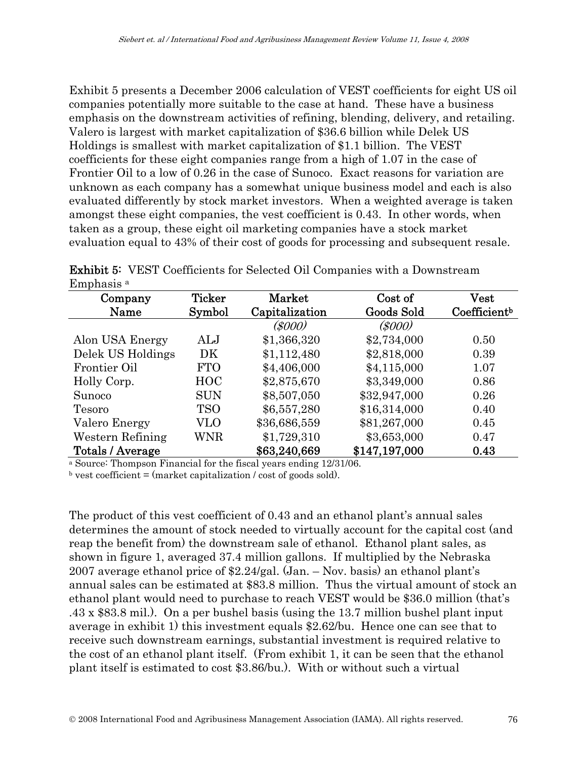Exhibit 5 presents a December 2006 calculation of VEST coefficients for eight US oil companies potentially more suitable to the case at hand. These have a business emphasis on the downstream activities of refining, blending, delivery, and retailing. Valero is largest with market capitalization of \$36.6 billion while Delek US Holdings is smallest with market capitalization of \$1.1 billion. The VEST coefficients for these eight companies range from a high of 1.07 in the case of Frontier Oil to a low of 0.26 in the case of Sunoco. Exact reasons for variation are unknown as each company has a somewhat unique business model and each is also evaluated differently by stock market investors. When a weighted average is taken amongst these eight companies, the vest coefficient is 0.43. In other words, when taken as a group, these eight oil marketing companies have a stock market evaluation equal to 43% of their cost of goods for processing and subsequent resale.

| Company           | <b>Ticker</b> | Market         | Cost of       | $\operatorname*{Vest}% \nolimits_{\Delta}\left( t\right) \sim\operatorname*{Vest}\nolimits_{\Delta}\left( t\right)$ |
|-------------------|---------------|----------------|---------------|---------------------------------------------------------------------------------------------------------------------|
| Name              | Symbol        | Capitalization | Goods Sold    | Coefficient <sup>b</sup>                                                                                            |
|                   |               | (\$000)        | (5000)        |                                                                                                                     |
| Alon USA Energy   | ALJ           | \$1,366,320    | \$2,734,000   | 0.50                                                                                                                |
| Delek US Holdings | DK            | \$1,112,480    | \$2,818,000   | 0.39                                                                                                                |
| Frontier Oil      | <b>FTO</b>    | \$4,406,000    | \$4,115,000   | 1.07                                                                                                                |
| Holly Corp.       | <b>HOC</b>    | \$2,875,670    | \$3,349,000   | 0.86                                                                                                                |
| Sunoco            | <b>SUN</b>    | \$8,507,050    | \$32,947,000  | 0.26                                                                                                                |
| Tesoro            | <b>TSO</b>    | \$6,557,280    | \$16,314,000  | 0.40                                                                                                                |
| Valero Energy     | VLO           | \$36,686,559   | \$81,267,000  | 0.45                                                                                                                |
| Western Refining  | WNR           | \$1,729,310    | \$3,653,000   | 0.47                                                                                                                |
| Totals / Average  |               | \$63,240,669   | \$147,197,000 | 0.43                                                                                                                |

Exhibit 5: VEST Coefficients for Selected Oil Companies with a Downstream Emphasis a

<sup>a</sup> Source: Thompson Financial for the fiscal years ending 12/31/06.

 $\alpha$  vest coefficient = (market capitalization / cost of goods sold).

The product of this vest coefficient of 0.43 and an ethanol plant's annual sales determines the amount of stock needed to virtually account for the capital cost (and reap the benefit from) the downstream sale of ethanol. Ethanol plant sales, as shown in figure 1, averaged 37.4 million gallons. If multiplied by the Nebraska 2007 average ethanol price of \$2.24/gal. (Jan. – Nov. basis) an ethanol plant's annual sales can be estimated at \$83.8 million. Thus the virtual amount of stock an ethanol plant would need to purchase to reach VEST would be \$36.0 million (that's .43 x \$83.8 mil.). On a per bushel basis (using the 13.7 million bushel plant input average in exhibit 1) this investment equals \$2.62/bu. Hence one can see that to receive such downstream earnings, substantial investment is required relative to the cost of an ethanol plant itself. (From exhibit 1, it can be seen that the ethanol plant itself is estimated to cost \$3.86/bu.). With or without such a virtual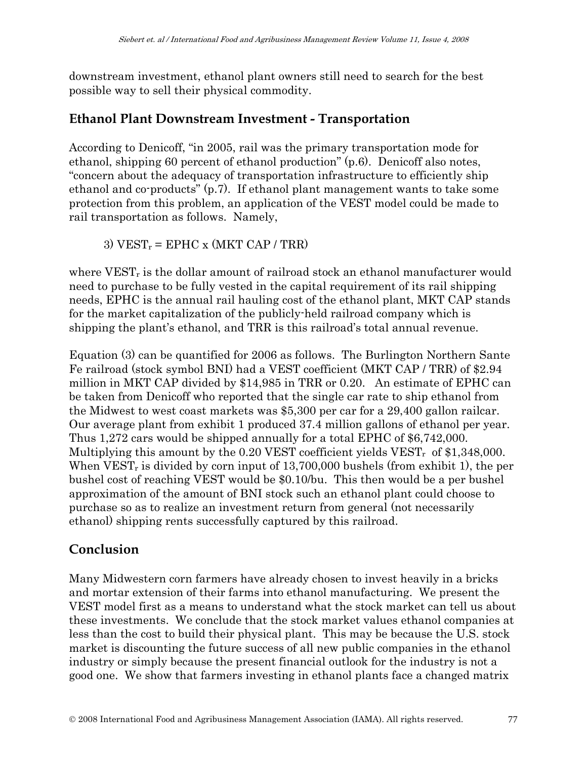downstream investment, ethanol plant owners still need to search for the best possible way to sell their physical commodity.

## **Ethanol Plant Downstream Investment - Transportation**

According to Denicoff, "in 2005, rail was the primary transportation mode for ethanol, shipping 60 percent of ethanol production" (p.6). Denicoff also notes, "concern about the adequacy of transportation infrastructure to efficiently ship ethanol and co-products" (p.7). If ethanol plant management wants to take some protection from this problem, an application of the VEST model could be made to rail transportation as follows. Namely,

3)  $VEST_r = EPHC x (MKT CAP / TRR)$ 

where VEST<sub>r</sub> is the dollar amount of railroad stock an ethanol manufacturer would need to purchase to be fully vested in the capital requirement of its rail shipping needs, EPHC is the annual rail hauling cost of the ethanol plant, MKT CAP stands for the market capitalization of the publicly-held railroad company which is shipping the plant's ethanol, and TRR is this railroad's total annual revenue.

Equation (3) can be quantified for 2006 as follows. The Burlington Northern Sante Fe railroad (stock symbol BNI) had a VEST coefficient (MKT CAP / TRR) of \$2.94 million in MKT CAP divided by \$14,985 in TRR or 0.20. An estimate of EPHC can be taken from Denicoff who reported that the single car rate to ship ethanol from the Midwest to west coast markets was \$5,300 per car for a 29,400 gallon railcar. Our average plant from exhibit 1 produced 37.4 million gallons of ethanol per year. Thus 1,272 cars would be shipped annually for a total EPHC of \$6,742,000. Multiplying this amount by the  $0.20$  VEST coefficient yields VEST<sub>r</sub> of \$1,348,000. When  $VEST_r$  is divided by corn input of 13,700,000 bushels (from exhibit 1), the per bushel cost of reaching VEST would be \$0.10/bu. This then would be a per bushel approximation of the amount of BNI stock such an ethanol plant could choose to purchase so as to realize an investment return from general (not necessarily ethanol) shipping rents successfully captured by this railroad.

## **Conclusion**

Many Midwestern corn farmers have already chosen to invest heavily in a bricks and mortar extension of their farms into ethanol manufacturing. We present the VEST model first as a means to understand what the stock market can tell us about these investments. We conclude that the stock market values ethanol companies at less than the cost to build their physical plant. This may be because the U.S. stock market is discounting the future success of all new public companies in the ethanol industry or simply because the present financial outlook for the industry is not a good one. We show that farmers investing in ethanol plants face a changed matrix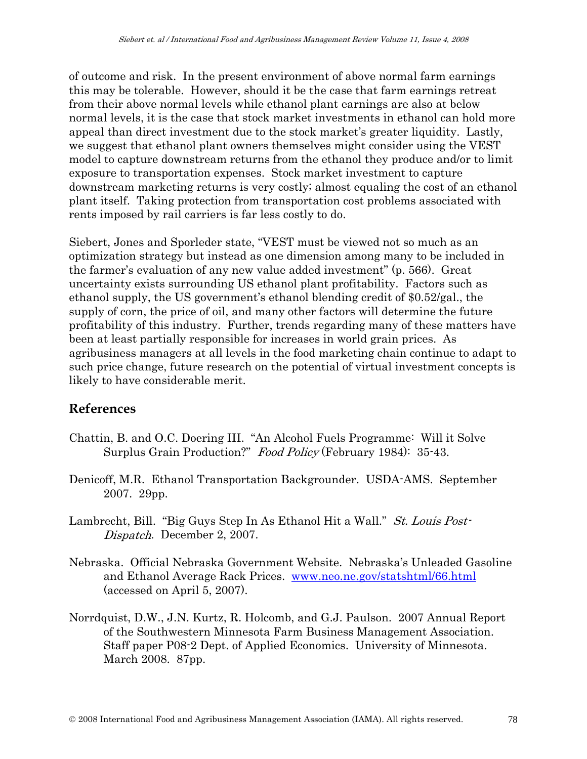of outcome and risk. In the present environment of above normal farm earnings this may be tolerable. However, should it be the case that farm earnings retreat from their above normal levels while ethanol plant earnings are also at below normal levels, it is the case that stock market investments in ethanol can hold more appeal than direct investment due to the stock market's greater liquidity. Lastly, we suggest that ethanol plant owners themselves might consider using the VEST model to capture downstream returns from the ethanol they produce and/or to limit exposure to transportation expenses. Stock market investment to capture downstream marketing returns is very costly; almost equaling the cost of an ethanol plant itself. Taking protection from transportation cost problems associated with rents imposed by rail carriers is far less costly to do.

Siebert, Jones and Sporleder state, "VEST must be viewed not so much as an optimization strategy but instead as one dimension among many to be included in the farmer's evaluation of any new value added investment" (p. 566). Great uncertainty exists surrounding US ethanol plant profitability. Factors such as ethanol supply, the US government's ethanol blending credit of \$0.52/gal., the supply of corn, the price of oil, and many other factors will determine the future profitability of this industry. Further, trends regarding many of these matters have been at least partially responsible for increases in world grain prices. As agribusiness managers at all levels in the food marketing chain continue to adapt to such price change, future research on the potential of virtual investment concepts is likely to have considerable merit.

## **References**

- Chattin, B. and O.C. Doering III. "An Alcohol Fuels Programme: Will it Solve Surplus Grain Production?" Food Policy (February 1984): 35-43.
- Denicoff, M.R. Ethanol Transportation Backgrounder. USDA-AMS. September 2007. 29pp.
- Lambrecht, Bill. "Big Guys Step In As Ethanol Hit a Wall." St. Louis Post-Dispatch. December 2, 2007.
- Nebraska. Official Nebraska Government Website. Nebraska's Unleaded Gasoline and Ethanol Average Rack Prices. [www.neo.ne.gov/statshtml/66.html](http://www.neo.ne.gov/statshtml/66.html)  (accessed on April 5, 2007).
- Norrdquist, D.W., J.N. Kurtz, R. Holcomb, and G.J. Paulson. 2007 Annual Report of the Southwestern Minnesota Farm Business Management Association. Staff paper P08-2 Dept. of Applied Economics. University of Minnesota. March 2008. 87pp.